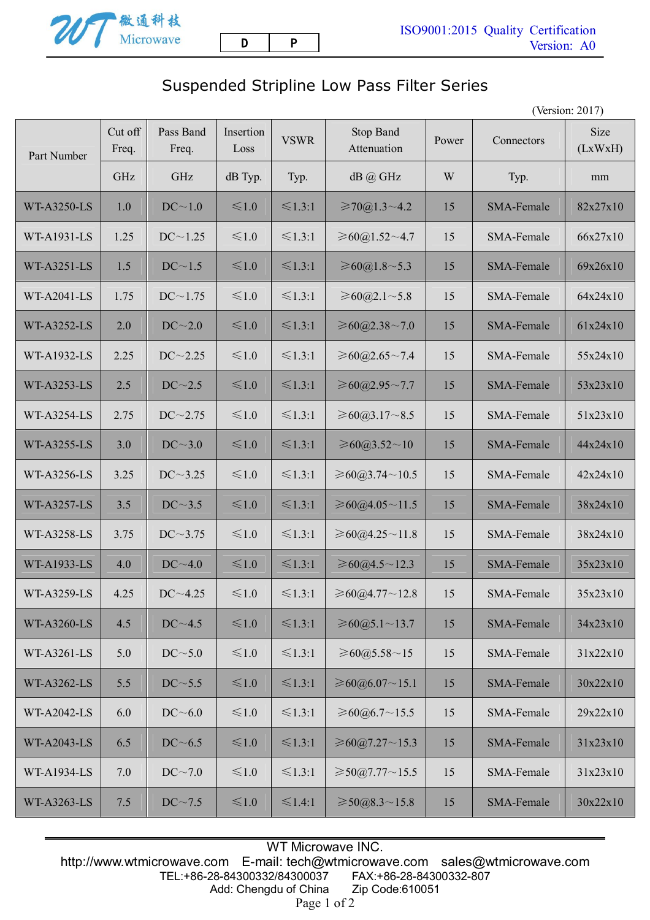

## Suspended Stripline Low Pass Filter Series

(Version: 2017)

| Part Number        | Cut off<br>Freq. | Pass Band<br>Freq. | Insertion<br>Loss | <b>VSWR</b>  | Stop Band<br>Attenuation               | Power | Connectors        | Size<br>(LxWxH) |
|--------------------|------------------|--------------------|-------------------|--------------|----------------------------------------|-------|-------------------|-----------------|
|                    | GHz              | GHz                | dB Typ.           | Typ.         | dB @ GHz                               | W     | Typ.              | mm              |
| <b>WT-A3250-LS</b> | 1.0              | DC~1.0             | $\leq 1.0$        | $\leq 1.3:1$ | $\geq 70@1.3 \sim 4.2$                 | 15    | <b>SMA-Female</b> | 82x27x10        |
| WT-A1931-LS        | 1.25             | DC~1.25            | $\leq 1.0$        | $\leq 1.3:1$ | ≥60@1.52~1.7                           | 15    | SMA-Female        | 66x27x10        |
| <b>WT-A3251-LS</b> | 1.5              | DC~1.5             | $≤1.0$            | $\leq 1.3:1$ | ≥60@1.8~5.3                            | 15    | SMA-Female        | 69x26x10        |
| <b>WT-A2041-LS</b> | 1.75             | $DC \sim 1.75$     | $\leq 1.0$        | $\leq 1.3:1$ | ≥60@2.1~5.8                            | 15    | SMA-Female        | 64x24x10        |
| <b>WT-A3252-LS</b> | 2.0              | DC~2.0             | $≤1.0$            | $\leq 1.3:1$ | ≥60@2.38~7.0                           | 15    | <b>SMA-Female</b> | 61x24x10        |
| WT-A1932-LS        | 2.25             | $DC \sim 2.25$     | $\leq 1.0$        | $\leq 1.3:1$ | ≥60@2.65~7.4                           | 15    | SMA-Female        | 55x24x10        |
| <b>WT-A3253-LS</b> | 2.5              | DC~2.5             | $≤1.0$            | $\leq 1.3:1$ | ≥60@2.95~7.7                           | 15    | SMA-Female        | 53x23x10        |
| <b>WT-A3254-LS</b> | 2.75             | $DC \sim 2.75$     | $\leq 1.0$        | $\leq 1.3:1$ | ≥60@3.17~8.5                           | 15    | SMA-Female        | 51x23x10        |
| <b>WT-A3255-LS</b> | 3.0              | DC~3.0             | $≤1.0$            | $\leq 1.3:1$ | ≥60@3.52~10                            | 15    | <b>SMA-Female</b> | 44x24x10        |
| WT-A3256-LS        | 3.25             | $DC \sim 3.25$     | $\leq 1.0$        | $\leq 1.3:1$ | ≥60@3.74~10.5                          | 15    | SMA-Female        | 42x24x10        |
| <b>WT-A3257-LS</b> | 3.5              | DC~3.5             | $≤1.0$            | $\leq 1.3:1$ | ≥60@4.05~11.5                          | 15    | SMA-Female        | 38x24x10        |
| WT-A3258-LS        | 3.75             | $DC \sim 3.75$     | $\leq 1.0$        | $\leq 1.3:1$ | ≥60@4.25~11.8                          | 15    | SMA-Female        | 38x24x10        |
| <b>WT-A1933-LS</b> | 4.0              | DC~1.0             | $\leq 1.0$        | $\leq 1.3:1$ | ≥60@4.5~12.3                           | 15    | <b>SMA-Female</b> | 35x23x10        |
| <b>WT-A3259-LS</b> | 4.25             | $DC - 4.25$        | $\leq 1.0$        | $\leq 1.3:1$ | ≥60@4.77~12.8                          | 15    | SMA-Female        | 35x23x10        |
| <b>WT-A3260-LS</b> | 4.5              | DC~1.5             | $\leq 1.0$        | $\leq 1.3:1$ | ≥60@5.1~13.7                           | 15    | SMA-Female        | 34x23x10        |
| WT-A3261-LS        | 5.0              | DC~5.0             | $\leq 1.0$        | $\leq 1.3:1$ | ≥60@5.58~15                            | 15    | SMA-Female        | 31x22x10        |
| WT-A3262-LS        | 5.5              | DC~5.5             | $\leq 1.0$        | $\leq 1.3:1$ | ≥60@6.07~15.1                          | 15    | SMA-Female        | 30x22x10        |
| <b>WT-A2042-LS</b> | 6.0              | DC~6.0             | $\leq 1.0$        | $\leq 1.3:1$ | $\geq 60$ ( <i>a</i> ) $6.7 \sim 15.5$ | 15    | SMA-Female        | 29x22x10        |
| <b>WT-A2043-LS</b> | 6.5              | DC~6.5             | $≤1.0$            | $\leq 1.3:1$ | ≥60@7.27~15.3                          | 15    | SMA-Female        | 31x23x10        |
| <b>WT-A1934-LS</b> | 7.0              | DC~1.0             | $\leq 1.0$        | $\leq 1.3:1$ | $\geq 50@7.77 \sim 15.5$               | 15    | SMA-Female        | 31x23x10        |
| WT-A3263-LS        | 7.5              | $DC \sim 7.5$      | $\leq 1.0$        | $\leq 1.4:1$ | $\geq 50@8.3 \sim 15.8$                | 15    | SMA-Female        | 30x22x10        |

WT Microwave INC. http://www.wtmicrowave.com E-mail: tech@wtmicrowave.com sales@wtmicrowave.com TEL:+86-28-84300332/84300037 Add: Chengdu of China Zip Code:610051 Page 1 of 2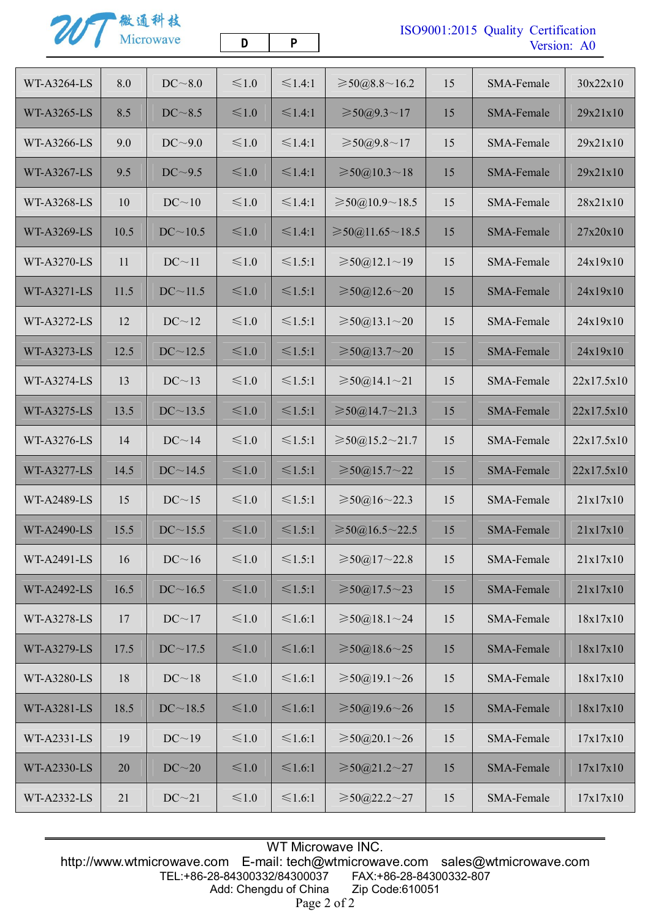201 微通科技

**D P** 

## ISO9001:2015 Quality Certification Version: A0

| WT-A3264-LS        | 8.0  | DC~3.0         | $≤1.0$     | $\leq 1.4:1$ | $\geq 50@8.8 \sim 16.2$     | 15 | SMA-Female        | 30x22x10   |
|--------------------|------|----------------|------------|--------------|-----------------------------|----|-------------------|------------|
| WT-A3265-LS        | 8.5  | DC~3.5         | $≤1.0$     | $\leq 1.4:1$ | ≥ 50@9.3~17                 | 15 | SMA-Female        | 29x21x10   |
| <b>WT-A3266-LS</b> | 9.0  | DC~9.0         | ≤1.0       | $\leq 1.4:1$ | ≥ 50@9.8~17                 | 15 | SMA-Female        | 29x21x10   |
| <b>WT-A3267-LS</b> | 9.5  | DC~9.5         | ≤1.0       | $\leq 1.4:1$ | $\geq 50@10.3 \sim 18$      | 15 | <b>SMA-Female</b> | 29x21x10   |
| WT-A3268-LS        | 10   | DC~10          | $≤1.0$     | $\leq 1.4:1$ | $\geq 50@10.9 \sim 18.5$    | 15 | SMA-Female        | 28x21x10   |
| WT-A3269-LS        | 10.5 | DC~10.5        | ≤1.0       | ≤1.4:1       | $\geq 50(0.11.65 \sim 18.5$ | 15 | SMA-Female        | 27x20x10   |
| WT-A3270-LS        | 11   | DC~11          | $≤1.0$     | $\leq 1.5:1$ | $\geq 50(2.1)$ ~ 19         | 15 | SMA-Female        | 24x19x10   |
| WT-A3271-LS        | 11.5 | $DC \sim 11.5$ | ≤1.0       | $\leq 1.5:1$ | $\geq 50(2.12.6 \sim 20)$   | 15 | SMA-Female        | 24x19x10   |
| WT-A3272-LS        | 12   | DC~12          | $≤1.0$     | $\leq 1.5:1$ | $\geq 50(0.13.1 \sim 20)$   | 15 | SMA-Female        | 24x19x10   |
| <b>WT-A3273-LS</b> | 12.5 | $DC \sim 12.5$ | $\leq 1.0$ | $\leq 1.5:1$ | $\geq 50(213.7-20)$         | 15 | SMA-Female        | 24x19x10   |
| <b>WT-A3274-LS</b> | 13   | DC~13          | $≤1.0$     | $≤1.5:1$     | $\geq 50@14.1 \sim 21$      | 15 | SMA-Female        | 22x17.5x10 |
| WT-A3275-LS        | 13.5 | $DC \sim 13.5$ | $≤1.0$     | $\leq 1.5:1$ | $\geq 50@14.7 \sim 21.3$    | 15 | SMA-Female        | 22x17.5x10 |
| WT-A3276-LS        | 14   | DC~14          | $≤1.0$     | $≤1.5:1$     | $\geq 50@15.2 \sim 21.7$    | 15 | SMA-Female        | 22x17.5x10 |
| <b>WT-A3277-LS</b> | 14.5 | DC~14.5        | $≤1.0$     | $\leq 1.5:1$ | $\geq 50(0.15.7 \sim 22)$   | 15 | SMA-Female        | 22x17.5x10 |
| <b>WT-A2489-LS</b> | 15   | DC~15          | $≤1.0$     | $\leq 1.5:1$ | ≥ 50@16~22.3                | 15 | SMA-Female        | 21x17x10   |
| <b>WT-A2490-LS</b> | 15.5 | $DC \sim 15.5$ | $≤1.0$     | $\leq 1.5:1$ | $\geq 50a$ , 16.5 ~ 22.5    | 15 | SMA-Female        | 21x17x10   |
| <b>WT-A2491-LS</b> | 16   | DC~16          | $≤1.0$     | $\leq 1.5:1$ | $\geq 50@17 - 22.8$         | 15 | SMA-Female        | 21x17x10   |
| <b>WT-A2492-LS</b> | 16.5 | DC~16.5        | $≤1.0$     | $\leq 1.5:1$ | $\geq 50(0.17.5 \sim 23)$   | 15 | SMA-Female        | 21x17x10   |
| WT-A3278-LS        | 17   | DC~17          | $\leq 1.0$ | $\leq 1.6:1$ | $\geq 50(0.18.1 \sim 24)$   | 15 | SMA-Female        | 18x17x10   |
| WT-A3279-LS        | 17.5 | $DC \sim 17.5$ | $\leq 1.0$ | $\leq 1.6:1$ | $\geq 50(0.18.6 \sim 25)$   | 15 | SMA-Female        | 18x17x10   |
| WT-A3280-LS        | 18   | DC~18          | $\leq 1.0$ | $≤1.6:1$     | $\geq 50(0.19.1 \sim 26$    | 15 | SMA-Female        | 18x17x10   |
| <b>WT-A3281-LS</b> | 18.5 | DC~18.5        | $\leq 1.0$ | $\leq 1.6:1$ | $\geq 50(0.19.6 \sim 26)$   | 15 | SMA-Female        | 18x17x10   |
| WT-A2331-LS        | 19   | DC~19          | $\leq 1.0$ | $\leq 1.6:1$ | $\geq 50(20.1-26)$          | 15 | SMA-Female        | 17x17x10   |
| WT-A2330-LS        | 20   | DC~20          | $\leq 1.0$ | $\leq 1.6:1$ | $\geq 50(21.2 \sim 27)$     | 15 | SMA-Female        | 17x17x10   |
| WT-A2332-LS        | 21   | DC~21          | $\leq 1.0$ | $\leq 1.6:1$ | $\geq 50@22.2 \sim 27$      | 15 | SMA-Female        | 17x17x10   |
|                    |      |                |            |              |                             |    |                   |            |

WT Microwave INC. http://www.wtmicrowave.com E-mail: tech@wtmicrowave.com sales@wtmicrowave.com TEL:+86-28-84300332/84300037 FAX:+86-28-84300332-807 Add: Chengdu of China Zip Code:610051 Page 2 of 2